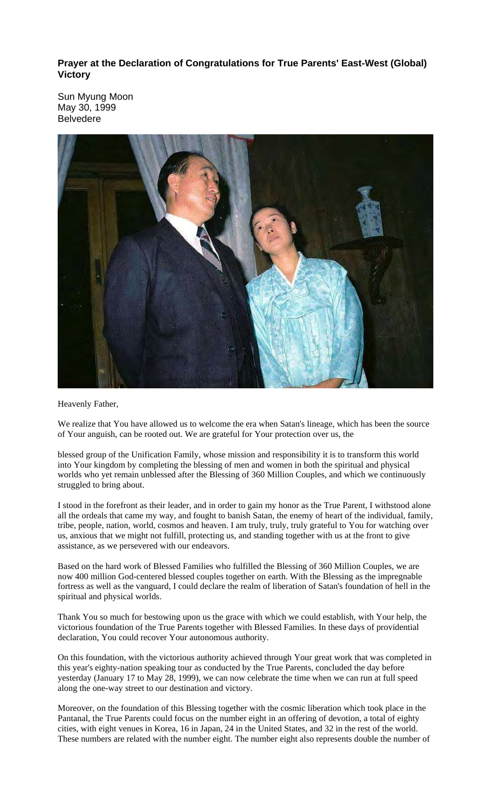**Prayer at the Declaration of Congratulations for True Parents' East-West (Global) Victory** 

Sun Myung Moon May 30, 1999 Belvedere



Heavenly Father,

We realize that You have allowed us to welcome the era when Satan's lineage, which has been the source of Your anguish, can be rooted out. We are grateful for Your protection over us, the

blessed group of the Unification Family, whose mission and responsibility it is to transform this world into Your kingdom by completing the blessing of men and women in both the spiritual and physical worlds who yet remain unblessed after the Blessing of 360 Million Couples, and which we continuously struggled to bring about.

I stood in the forefront as their leader, and in order to gain my honor as the True Parent, I withstood alone all the ordeals that came my way, and fought to banish Satan, the enemy of heart of the individual, family, tribe, people, nation, world, cosmos and heaven. I am truly, truly, truly grateful to You for watching over us, anxious that we might not fulfill, protecting us, and standing together with us at the front to give assistance, as we persevered with our endeavors.

Based on the hard work of Blessed Families who fulfilled the Blessing of 360 Million Couples, we are now 400 million God-centered blessed couples together on earth. With the Blessing as the impregnable fortress as well as the vanguard, I could declare the realm of liberation of Satan's foundation of hell in the spiritual and physical worlds.

Thank You so much for bestowing upon us the grace with which we could establish, with Your help, the victorious foundation of the True Parents together with Blessed Families. In these days of providential declaration, You could recover Your autonomous authority.

On this foundation, with the victorious authority achieved through Your great work that was completed in this year's eighty-nation speaking tour as conducted by the True Parents, concluded the day before yesterday (January 17 to May 28, 1999), we can now celebrate the time when we can run at full speed along the one-way street to our destination and victory.

Moreover, on the foundation of this Blessing together with the cosmic liberation which took place in the Pantanal, the True Parents could focus on the number eight in an offering of devotion, a total of eighty cities, with eight venues in Korea, 16 in Japan, 24 in the United States, and 32 in the rest of the world. These numbers are related with the number eight. The number eight also represents double the number of